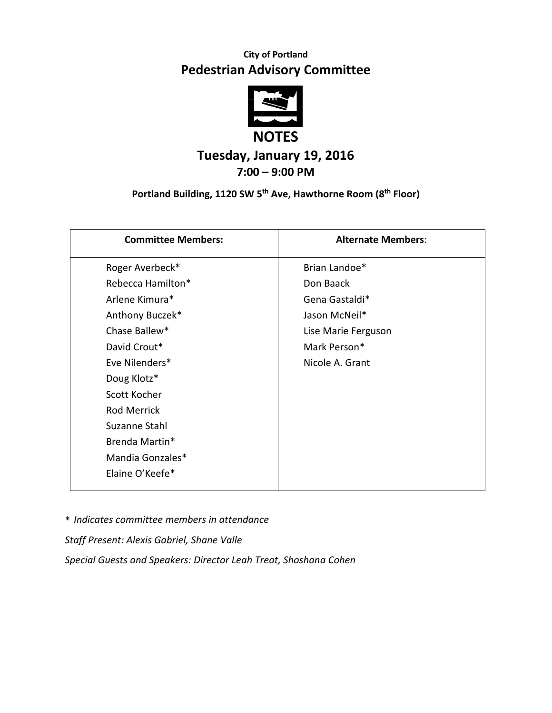## **City of Portland Pedestrian Advisory Committee**



# **Tuesday, January 19, 2016 7:00 – 9:00 PM**

### **Portland Building, 1120 SW 5 th Ave, Hawthorne Room (8th Floor)**

| <b>Committee Members:</b> | <b>Alternate Members:</b> |
|---------------------------|---------------------------|
| Roger Averbeck*           | Brian Landoe*             |
| Rebecca Hamilton*         | Don Baack                 |
| Arlene Kimura*            | Gena Gastaldi*            |
| Anthony Buczek*           | Jason McNeil*             |
| Chase Ballew*             | Lise Marie Ferguson       |
| David Crout*              | Mark Person*              |
| Eve Nilenders*            | Nicole A. Grant           |
| Doug Klotz*               |                           |
| Scott Kocher              |                           |
| <b>Rod Merrick</b>        |                           |
| Suzanne Stahl             |                           |
| Brenda Martin*            |                           |
| Mandia Gonzales*          |                           |
| Elaine O'Keefe*           |                           |

\* *Indicates committee members in attendance*

*Staff Present: Alexis Gabriel, Shane Valle*

*Special Guests and Speakers: Director Leah Treat, Shoshana Cohen*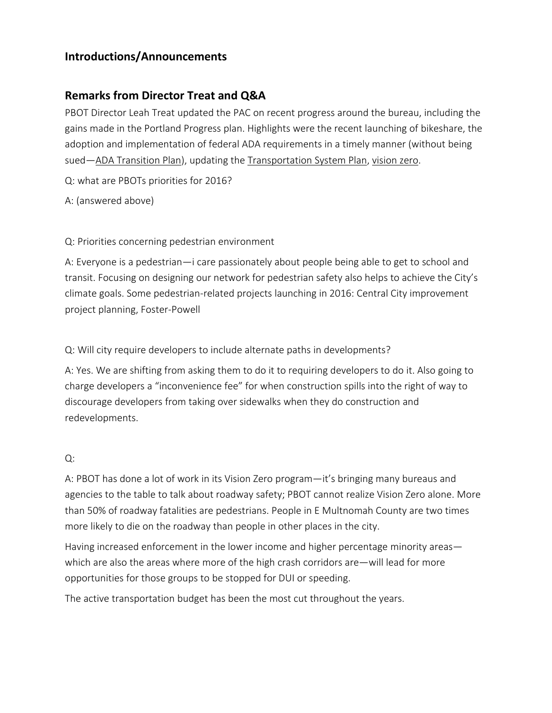### **Introductions/Announcements**

### **Remarks from Director Treat and Q&A**

PBOT Director Leah Treat updated the PAC on recent progress around the bureau, including the gains made in the Portland Progress plan. Highlights were the recent launching of bikeshare, the adoption and implementation of federal ADA requirements in a timely manner (without being sued—ADA [Transition](https://www.portlandoregon.gov/oehr/65426) Plan), updating the [Transportation](https://www.portlandoregon.gov/transportation/63710) System Plan, [vision](https://www.portlandoregon.gov/transportation/66612) zero.

Q: what are PBOTs priorities for 2016?

A: (answered above)

Q: Priorities concerning pedestrian environment

A: Everyone is a pedestrian—i care passionately about people being able to get to school and transit. Focusing on designing our network for pedestrian safety also helps to achieve the City's climate goals. Some pedestrian-related projects launching in 2016: Central City improvement project planning, Foster-Powell

Q: Will city require developers to include alternate paths in developments?

A: Yes. We are shifting from asking them to do it to requiring developers to do it. Also going to charge developers a "inconvenience fee" for when construction spills into the right of way to discourage developers from taking over sidewalks when they do construction and redevelopments.

#### Q:

A: PBOT has done a lot of work in its Vision Zero program—it's bringing many bureaus and agencies to the table to talk about roadway safety; PBOT cannot realize Vision Zero alone. More than 50% of roadway fatalities are pedestrians. People in E Multnomah County are two times more likely to die on the roadway than people in other places in the city.

Having increased enforcement in the lower income and higher percentage minority areas which are also the areas where more of the high crash corridors are—will lead for more opportunities for those groups to be stopped for DUI or speeding.

The active transportation budget has been the most cut throughout the years.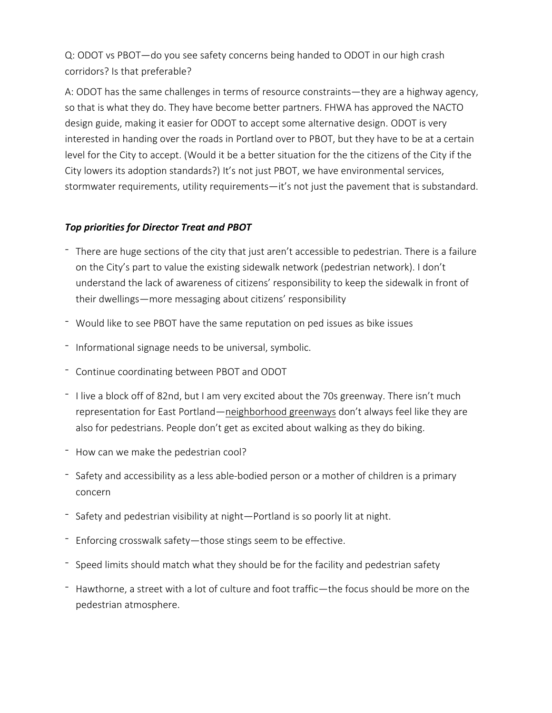Q: ODOT vs PBOT—do you see safety concerns being handed to ODOT in our high crash corridors? Is that preferable?

A: ODOT has the same challenges in terms of resource constraints—they are a highway agency, so that is what they do. They have become better partners. FHWA has approved the NACTO design guide, making it easier for ODOT to accept some alternative design. ODOT is very interested in handing over the roads in Portland over to PBOT, but they have to be at a certain level for the City to accept. (Would it be a better situation for the the citizens of the City if the City lowers its adoption standards?) It's not just PBOT, we have environmental services, stormwater requirements, utility requirements—it's not just the pavement that is substandard.

#### *Top priorities for Director Treat and PBOT*

- There are huge sections of the city that just aren't accessible to pedestrian. There is a failure on the City's part to value the existing sidewalk network (pedestrian network). I don't understand the lack of awareness of citizens' responsibility to keep the sidewalk in front of their dwellings—more messaging about citizens' responsibility
- Would like to see PBOT have the same reputation on ped issues as bike issues
- Informational signage needs to be universal, symbolic.
- Continue coordinating between PBOT and ODOT
- I live a block off of 82nd, but I am very excited about the 70s greenway. There isn't much representation for East Portland—[neighborhood](https://www.portlandoregon.gov/transportation/50518) greenways don't always feel like they are also for pedestrians. People don't get as excited about walking as they do biking.
- How can we make the pedestrian cool?
- Safety and accessibility as a less able-bodied person or a mother of children is a primary concern
- Safety and pedestrian visibility at night—Portland is so poorly lit at night.
- Enforcing crosswalk safety—those stings seem to be effective.
- Speed limits should match what they should be for the facility and pedestrian safety
- Hawthorne, a street with a lot of culture and foot traffic—the focus should be more on the pedestrian atmosphere.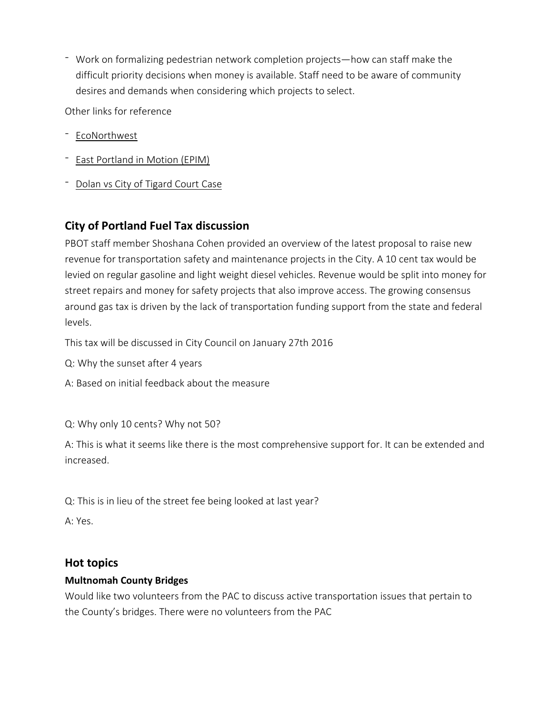- Work on formalizing pedestrian network completion projects—how can staff make the difficult priority decisions when money is available. Staff need to be aware of community desires and demands when considering which projects to select.

Other links for reference

- [EcoNorthwest](http://www.econw.com/)
- East [Portland](https://www.portlandoregon.gov/transportation/54306) in Motion (EPIM)
- Dolan vs City of [Tigard](https://en.wikipedia.org/wiki/Dolan_v._City_of_Tigard) Court Case

## **City of Portland Fuel Tax discussion**

PBOT staff member Shoshana Cohen provided an overview of the latest proposal to raise new revenue for transportation safety and maintenance projects in the City. A 10 cent tax would be levied on regular gasoline and light weight diesel vehicles. Revenue would be split into money for street repairs and money for safety projects that also improve access. The growing consensus around gas tax is driven by the lack of transportation funding support from the state and federal levels.

This tax will be discussed in City Council on January 27th 2016

- Q: Why the sunset after 4 years
- A: Based on initial feedback about the measure
- Q: Why only 10 cents? Why not 50?

A: This is what it seems like there is the most comprehensive support for. It can be extended and increased.

Q: This is in lieu of the street fee being looked at last year?

A: Yes.

#### **Hot topics**

#### **Multnomah County Bridges**

Would like two volunteers from the PAC to discuss active transportation issues that pertain to the County's bridges. There were no volunteers from the PAC